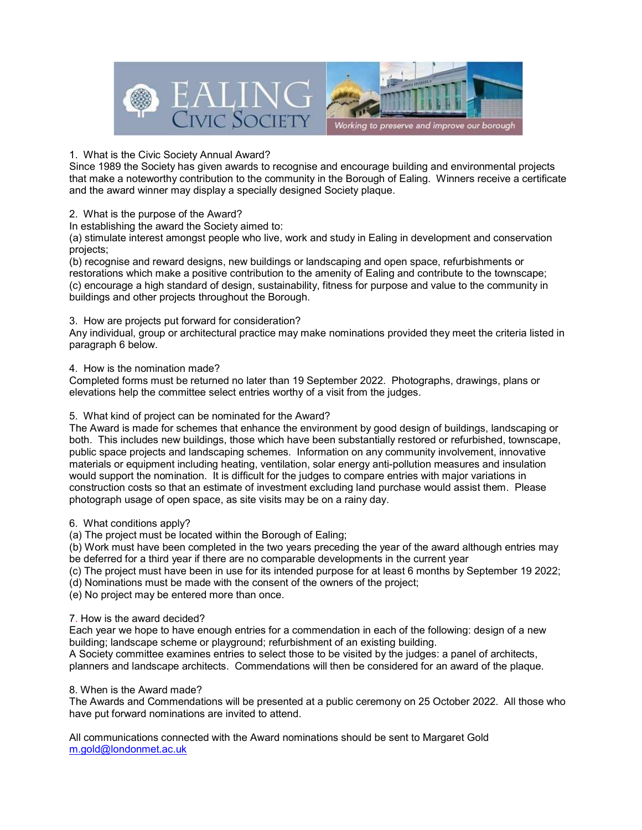

### 1. What is the Civic Society Annual Award?

Since 1989 the Society has given awards to recognise and encourage building and environmental projects that make a noteworthy contribution to the community in the Borough of Ealing. Winners receive a certificate and the award winner may display a specially designed Society plaque.

## 2. What is the purpose of the Award?

In establishing the award the Society aimed to:

(a) stimulate interest amongst people who live, work and study in Ealing in development and conservation projects;

(b) recognise and reward designs, new buildings or landscaping and open space, refurbishments or restorations which make a positive contribution to the amenity of Ealing and contribute to the townscape; (c) encourage a high standard of design, sustainability, fitness for purpose and value to the community in buildings and other projects throughout the Borough.

## 3. How are projects put forward for consideration?

Any individual, group or architectural practice may make nominations provided they meet the criteria listed in paragraph 6 below.

## 4. How is the nomination made?

Completed forms must be returned no later than 19 September 2022. Photographs, drawings, plans or elevations help the committee select entries worthy of a visit from the judges.

# 5. What kind of project can be nominated for the Award?

The Award is made for schemes that enhance the environment by good design of buildings, landscaping or both. This includes new buildings, those which have been substantially restored or refurbished, townscape, public space projects and landscaping schemes. Information on any community involvement, innovative materials or equipment including heating, ventilation, solar energy anti-pollution measures and insulation would support the nomination. It is difficult for the judges to compare entries with major variations in construction costs so that an estimate of investment excluding land purchase would assist them. Please photograph usage of open space, as site visits may be on a rainy day.

### 6. What conditions apply?

(a) The project must be located within the Borough of Ealing;

(b) Work must have been completed in the two years preceding the year of the award although entries may be deferred for a third year if there are no comparable developments in the current year

(c) The project must have been in use for its intended purpose for at least 6 months by September 19 2022;

(d) Nominations must be made with the consent of the owners of the project;

(e) No project may be entered more than once.

### 7. How is the award decided?

Each year we hope to have enough entries for a commendation in each of the following: design of a new building; landscape scheme or playground; refurbishment of an existing building.

A Society committee examines entries to select those to be visited by the judges: a panel of architects, planners and landscape architects. Commendations will then be considered for an award of the plaque.

### 8. When is the Award made?

The Awards and Commendations will be presented at a public ceremony on 25 October 2022. All those who have put forward nominations are invited to attend.

All communications connected with the Award nominations should be sent to Margaret Gold m.gold@londonmet.ac.uk